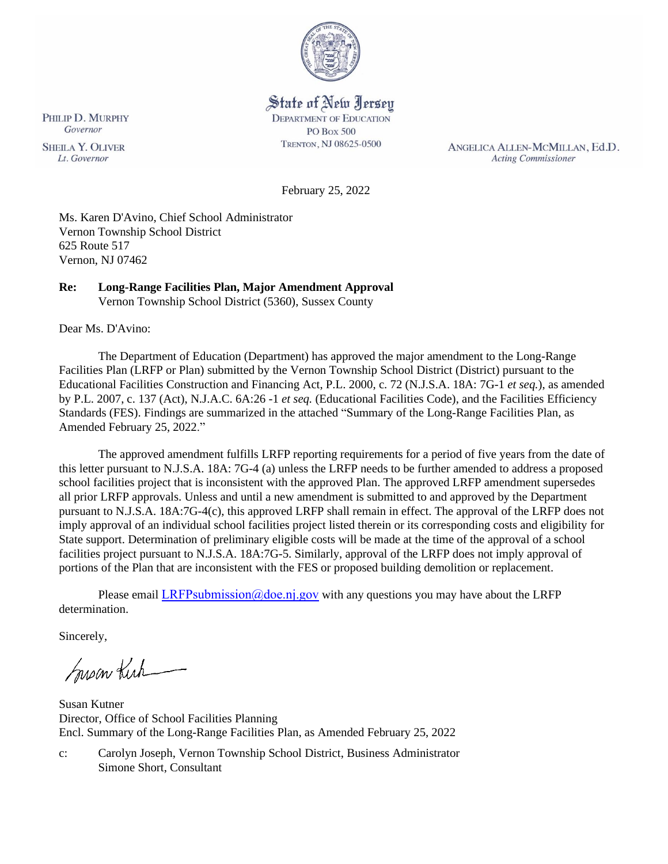

# State of New Jersey

**DEPARTMENT OF EDUCATION PO Box 500** TRENTON, NJ 08625-0500

ANGELICA ALLEN-MCMILLAN, Ed.D. **Acting Commissioner** 

February 25, 2022

Ms. Karen D'Avino, Chief School Administrator Vernon Township School District 625 Route 517 Vernon, NJ 07462

# **Re: Long-Range Facilities Plan, Major Amendment Approval**

Vernon Township School District (5360), Sussex County

Dear Ms. D'Avino:

The Department of Education (Department) has approved the major amendment to the Long-Range Facilities Plan (LRFP or Plan) submitted by the Vernon Township School District (District) pursuant to the Educational Facilities Construction and Financing Act, P.L. 2000, c. 72 (N.J.S.A. 18A: 7G-1 *et seq.*), as amended by P.L. 2007, c. 137 (Act), N.J.A.C. 6A:26 -1 *et seq.* (Educational Facilities Code), and the Facilities Efficiency Standards (FES). Findings are summarized in the attached "Summary of the Long-Range Facilities Plan, as Amended February 25, 2022."

The approved amendment fulfills LRFP reporting requirements for a period of five years from the date of this letter pursuant to N.J.S.A. 18A: 7G-4 (a) unless the LRFP needs to be further amended to address a proposed school facilities project that is inconsistent with the approved Plan. The approved LRFP amendment supersedes all prior LRFP approvals. Unless and until a new amendment is submitted to and approved by the Department pursuant to N.J.S.A. 18A:7G-4(c), this approved LRFP shall remain in effect. The approval of the LRFP does not imply approval of an individual school facilities project listed therein or its corresponding costs and eligibility for State support. Determination of preliminary eligible costs will be made at the time of the approval of a school facilities project pursuant to N.J.S.A. 18A:7G-5. Similarly, approval of the LRFP does not imply approval of portions of the Plan that are inconsistent with the FES or proposed building demolition or replacement.

Please email LRFPsubmission  $@doen$  i.gov with any questions you may have about the LRFP determination.

Sincerely,

Susan Kich

Susan Kutner Director, Office of School Facilities Planning Encl. Summary of the Long-Range Facilities Plan, as Amended February 25, 2022

c: Carolyn Joseph, Vernon Township School District, Business Administrator Simone Short, Consultant

PHILIP D. MURPHY Governor **SHEILA Y. OLIVER** 

Lt. Governor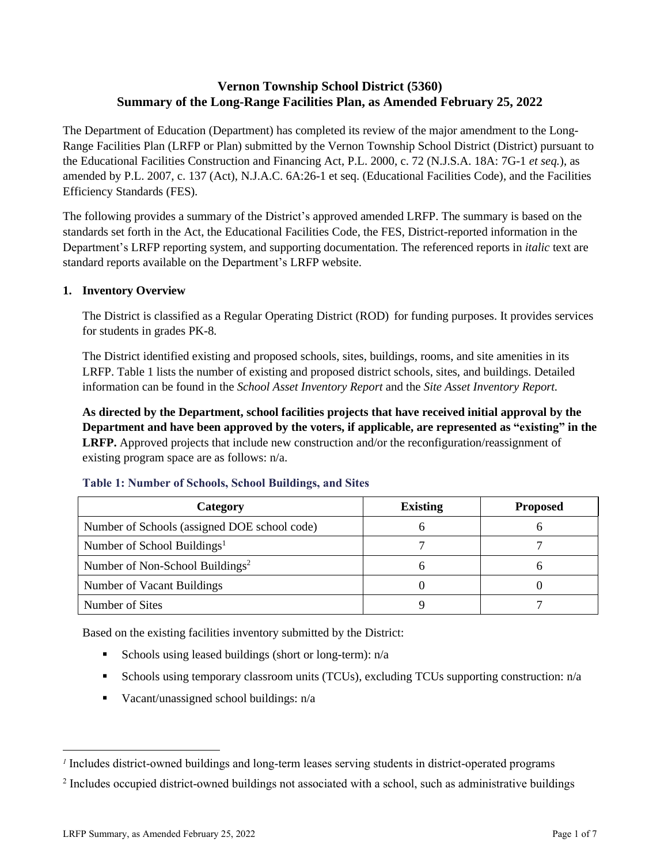# **Vernon Township School District (5360) Summary of the Long-Range Facilities Plan, as Amended February 25, 2022**

The Department of Education (Department) has completed its review of the major amendment to the Long-Range Facilities Plan (LRFP or Plan) submitted by the Vernon Township School District (District) pursuant to the Educational Facilities Construction and Financing Act, P.L. 2000, c. 72 (N.J.S.A. 18A: 7G-1 *et seq.*), as amended by P.L. 2007, c. 137 (Act), N.J.A.C. 6A:26-1 et seq. (Educational Facilities Code), and the Facilities Efficiency Standards (FES).

The following provides a summary of the District's approved amended LRFP. The summary is based on the standards set forth in the Act, the Educational Facilities Code, the FES, District-reported information in the Department's LRFP reporting system, and supporting documentation. The referenced reports in *italic* text are standard reports available on the Department's LRFP website.

# **1. Inventory Overview**

The District is classified as a Regular Operating District (ROD) for funding purposes. It provides services for students in grades PK-8.

The District identified existing and proposed schools, sites, buildings, rooms, and site amenities in its LRFP. Table 1 lists the number of existing and proposed district schools, sites, and buildings. Detailed information can be found in the *School Asset Inventory Report* and the *Site Asset Inventory Report.*

**As directed by the Department, school facilities projects that have received initial approval by the Department and have been approved by the voters, if applicable, are represented as "existing" in the LRFP.** Approved projects that include new construction and/or the reconfiguration/reassignment of existing program space are as follows: n/a.

| Category                                     | <b>Existing</b> | <b>Proposed</b> |
|----------------------------------------------|-----------------|-----------------|
| Number of Schools (assigned DOE school code) |                 |                 |
| Number of School Buildings <sup>1</sup>      |                 |                 |
| Number of Non-School Buildings <sup>2</sup>  |                 |                 |
| Number of Vacant Buildings                   |                 |                 |
| Number of Sites                              |                 |                 |

#### **Table 1: Number of Schools, School Buildings, and Sites**

Based on the existing facilities inventory submitted by the District:

- **Exercise** Schools using leased buildings (short or long-term):  $n/a$
- Schools using temporary classroom units (TCUs), excluding TCUs supporting construction: n/a
- Vacant/unassigned school buildings: n/a

*<sup>1</sup>* Includes district-owned buildings and long-term leases serving students in district-operated programs

<sup>&</sup>lt;sup>2</sup> Includes occupied district-owned buildings not associated with a school, such as administrative buildings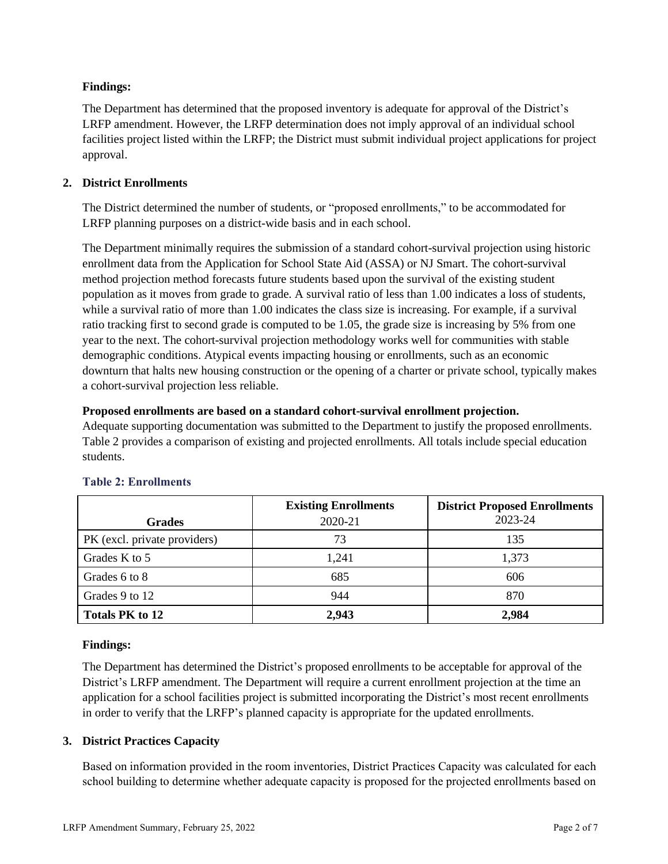# **Findings:**

The Department has determined that the proposed inventory is adequate for approval of the District's LRFP amendment. However, the LRFP determination does not imply approval of an individual school facilities project listed within the LRFP; the District must submit individual project applications for project approval.

# **2. District Enrollments**

The District determined the number of students, or "proposed enrollments," to be accommodated for LRFP planning purposes on a district-wide basis and in each school.

The Department minimally requires the submission of a standard cohort-survival projection using historic enrollment data from the Application for School State Aid (ASSA) or NJ Smart. The cohort-survival method projection method forecasts future students based upon the survival of the existing student population as it moves from grade to grade. A survival ratio of less than 1.00 indicates a loss of students, while a survival ratio of more than 1.00 indicates the class size is increasing. For example, if a survival ratio tracking first to second grade is computed to be 1.05, the grade size is increasing by 5% from one year to the next. The cohort-survival projection methodology works well for communities with stable demographic conditions. Atypical events impacting housing or enrollments, such as an economic downturn that halts new housing construction or the opening of a charter or private school, typically makes a cohort-survival projection less reliable.

# **Proposed enrollments are based on a standard cohort-survival enrollment projection.**

Adequate supporting documentation was submitted to the Department to justify the proposed enrollments. Table 2 provides a comparison of existing and projected enrollments. All totals include special education students.

|                              | <b>Existing Enrollments</b> | <b>District Proposed Enrollments</b> |
|------------------------------|-----------------------------|--------------------------------------|
| <b>Grades</b>                | 2020-21                     | 2023-24                              |
| PK (excl. private providers) | 73                          | 135                                  |
| Grades K to 5                | 1,241                       | 1,373                                |
| Grades 6 to 8                | 685                         | 606                                  |
| Grades 9 to 12               | 944                         | 870                                  |
| <b>Totals PK to 12</b>       | 2,943                       | 2,984                                |

# **Table 2: Enrollments**

# **Findings:**

The Department has determined the District's proposed enrollments to be acceptable for approval of the District's LRFP amendment. The Department will require a current enrollment projection at the time an application for a school facilities project is submitted incorporating the District's most recent enrollments in order to verify that the LRFP's planned capacity is appropriate for the updated enrollments.

# **3. District Practices Capacity**

Based on information provided in the room inventories, District Practices Capacity was calculated for each school building to determine whether adequate capacity is proposed for the projected enrollments based on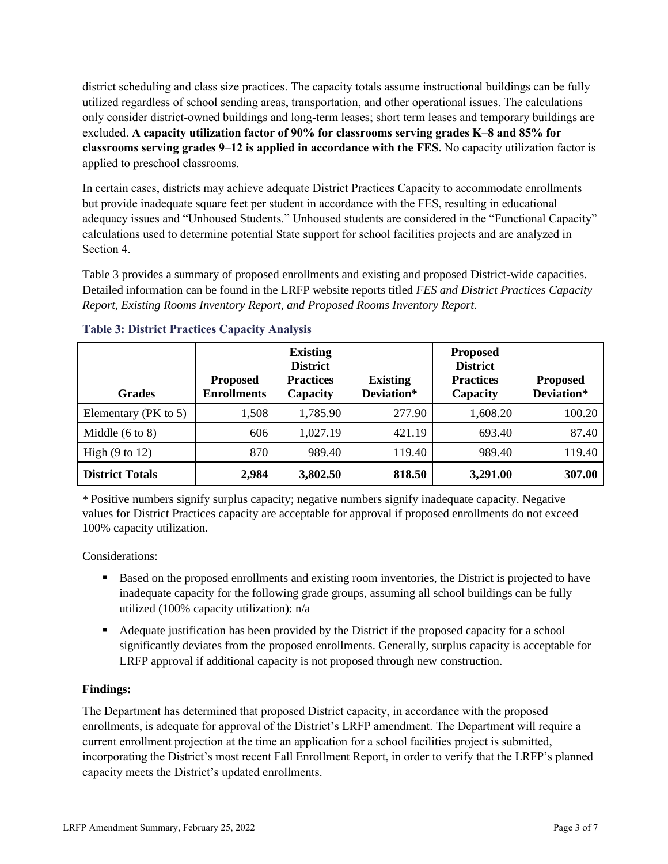district scheduling and class size practices. The capacity totals assume instructional buildings can be fully utilized regardless of school sending areas, transportation, and other operational issues. The calculations only consider district-owned buildings and long-term leases; short term leases and temporary buildings are excluded. **A capacity utilization factor of 90% for classrooms serving grades K–8 and 85% for classrooms serving grades 9–12 is applied in accordance with the FES.** No capacity utilization factor is applied to preschool classrooms.

In certain cases, districts may achieve adequate District Practices Capacity to accommodate enrollments but provide inadequate square feet per student in accordance with the FES, resulting in educational adequacy issues and "Unhoused Students." Unhoused students are considered in the "Functional Capacity" calculations used to determine potential State support for school facilities projects and are analyzed in Section 4.

Table 3 provides a summary of proposed enrollments and existing and proposed District-wide capacities. Detailed information can be found in the LRFP website reports titled *FES and District Practices Capacity Report, Existing Rooms Inventory Report, and Proposed Rooms Inventory Report.*

| <b>Grades</b>              | <b>Proposed</b><br><b>Enrollments</b> | <b>Existing</b><br><b>District</b><br><b>Practices</b><br>Capacity | <b>Existing</b><br>Deviation* | <b>Proposed</b><br><b>District</b><br><b>Practices</b><br>Capacity | <b>Proposed</b><br>Deviation* |
|----------------------------|---------------------------------------|--------------------------------------------------------------------|-------------------------------|--------------------------------------------------------------------|-------------------------------|
| Elementary ( $PK$ to 5)    | 1,508                                 | 1,785.90                                                           | 277.90                        | 1,608.20                                                           | 100.20                        |
| Middle $(6 \text{ to } 8)$ | 606                                   | 1,027.19                                                           | 421.19                        | 693.40                                                             | 87.40                         |
| High $(9 \text{ to } 12)$  | 870                                   | 989.40                                                             | 119.40                        | 989.40                                                             | 119.40                        |
| <b>District Totals</b>     | 2,984                                 | 3,802.50                                                           | 818.50                        | 3,291.00                                                           | 307.00                        |

# **Table 3: District Practices Capacity Analysis**

*\** Positive numbers signify surplus capacity; negative numbers signify inadequate capacity. Negative values for District Practices capacity are acceptable for approval if proposed enrollments do not exceed 100% capacity utilization.

Considerations:

- Based on the proposed enrollments and existing room inventories, the District is projected to have inadequate capacity for the following grade groups, assuming all school buildings can be fully utilized (100% capacity utilization): n/a
- Adequate justification has been provided by the District if the proposed capacity for a school significantly deviates from the proposed enrollments. Generally, surplus capacity is acceptable for LRFP approval if additional capacity is not proposed through new construction.

# **Findings:**

The Department has determined that proposed District capacity, in accordance with the proposed enrollments, is adequate for approval of the District's LRFP amendment. The Department will require a current enrollment projection at the time an application for a school facilities project is submitted, incorporating the District's most recent Fall Enrollment Report, in order to verify that the LRFP's planned capacity meets the District's updated enrollments.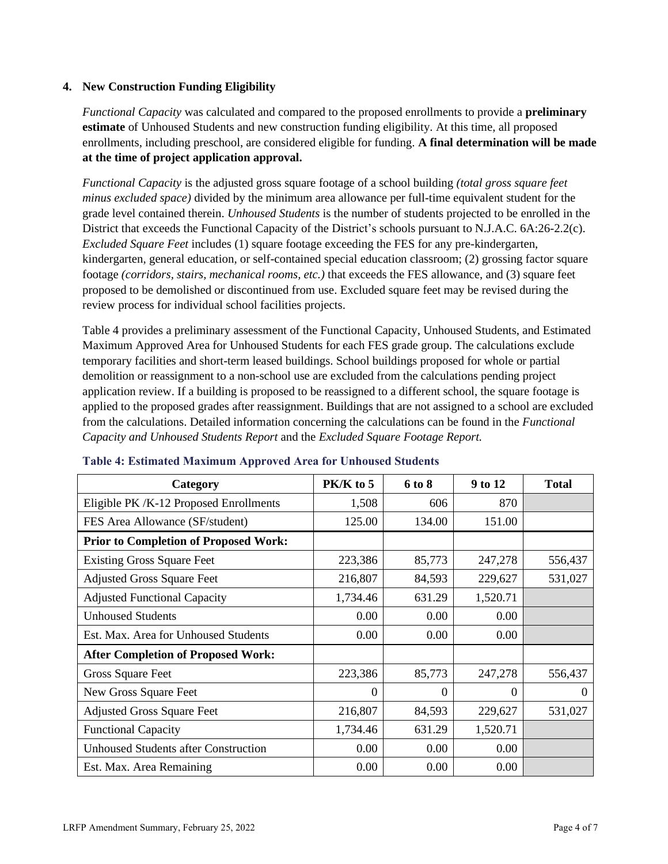## **4. New Construction Funding Eligibility**

*Functional Capacity* was calculated and compared to the proposed enrollments to provide a **preliminary estimate** of Unhoused Students and new construction funding eligibility. At this time, all proposed enrollments, including preschool, are considered eligible for funding. **A final determination will be made at the time of project application approval.**

*Functional Capacity* is the adjusted gross square footage of a school building *(total gross square feet minus excluded space)* divided by the minimum area allowance per full-time equivalent student for the grade level contained therein. *Unhoused Students* is the number of students projected to be enrolled in the District that exceeds the Functional Capacity of the District's schools pursuant to N.J.A.C. 6A:26-2.2(c). *Excluded Square Feet* includes (1) square footage exceeding the FES for any pre-kindergarten, kindergarten, general education, or self-contained special education classroom; (2) grossing factor square footage *(corridors, stairs, mechanical rooms, etc.)* that exceeds the FES allowance, and (3) square feet proposed to be demolished or discontinued from use. Excluded square feet may be revised during the review process for individual school facilities projects.

Table 4 provides a preliminary assessment of the Functional Capacity, Unhoused Students, and Estimated Maximum Approved Area for Unhoused Students for each FES grade group. The calculations exclude temporary facilities and short-term leased buildings. School buildings proposed for whole or partial demolition or reassignment to a non-school use are excluded from the calculations pending project application review. If a building is proposed to be reassigned to a different school, the square footage is applied to the proposed grades after reassignment. Buildings that are not assigned to a school are excluded from the calculations. Detailed information concerning the calculations can be found in the *Functional Capacity and Unhoused Students Report* and the *Excluded Square Footage Report.*

| Category                                     | $PK/K$ to 5 | 6 to 8   | 9 to 12  | <b>Total</b> |
|----------------------------------------------|-------------|----------|----------|--------------|
| Eligible PK/K-12 Proposed Enrollments        | 1,508       | 606      | 870      |              |
| FES Area Allowance (SF/student)              | 125.00      | 134.00   | 151.00   |              |
| <b>Prior to Completion of Proposed Work:</b> |             |          |          |              |
| <b>Existing Gross Square Feet</b>            | 223,386     | 85,773   | 247,278  | 556,437      |
| <b>Adjusted Gross Square Feet</b>            | 216,807     | 84,593   | 229,627  | 531,027      |
| <b>Adjusted Functional Capacity</b>          | 1,734.46    | 631.29   | 1,520.71 |              |
| <b>Unhoused Students</b>                     | 0.00        | 0.00     | 0.00     |              |
| Est. Max. Area for Unhoused Students         | 0.00        | 0.00     | 0.00     |              |
| <b>After Completion of Proposed Work:</b>    |             |          |          |              |
| Gross Square Feet                            | 223,386     | 85,773   | 247,278  | 556,437      |
| New Gross Square Feet                        | $\theta$    | $\theta$ | $\Omega$ | $\Omega$     |
| <b>Adjusted Gross Square Feet</b>            | 216,807     | 84,593   | 229,627  | 531,027      |
| <b>Functional Capacity</b>                   | 1,734.46    | 631.29   | 1,520.71 |              |
| <b>Unhoused Students after Construction</b>  | 0.00        | 0.00     | 0.00     |              |
| Est. Max. Area Remaining                     | 0.00        | 0.00     | 0.00     |              |

#### **Table 4: Estimated Maximum Approved Area for Unhoused Students**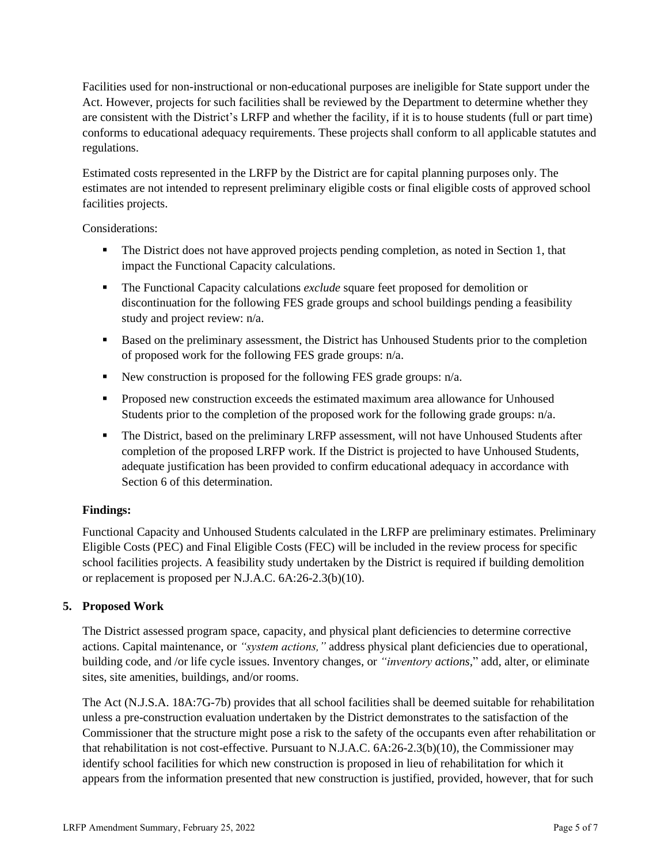Facilities used for non-instructional or non-educational purposes are ineligible for State support under the Act. However, projects for such facilities shall be reviewed by the Department to determine whether they are consistent with the District's LRFP and whether the facility, if it is to house students (full or part time) conforms to educational adequacy requirements. These projects shall conform to all applicable statutes and regulations.

Estimated costs represented in the LRFP by the District are for capital planning purposes only. The estimates are not intended to represent preliminary eligible costs or final eligible costs of approved school facilities projects.

Considerations:

- **•** The District does not have approved projects pending completion, as noted in Section 1, that impact the Functional Capacity calculations.
- The Functional Capacity calculations *exclude* square feet proposed for demolition or discontinuation for the following FES grade groups and school buildings pending a feasibility study and project review: n/a.
- Based on the preliminary assessment, the District has Unhoused Students prior to the completion of proposed work for the following FES grade groups: n/a.
- New construction is proposed for the following FES grade groups: n/a.
- Proposed new construction exceeds the estimated maximum area allowance for Unhoused Students prior to the completion of the proposed work for the following grade groups: n/a.
- **•** The District, based on the preliminary LRFP assessment, will not have Unhoused Students after completion of the proposed LRFP work. If the District is projected to have Unhoused Students, adequate justification has been provided to confirm educational adequacy in accordance with Section 6 of this determination.

# **Findings:**

Functional Capacity and Unhoused Students calculated in the LRFP are preliminary estimates. Preliminary Eligible Costs (PEC) and Final Eligible Costs (FEC) will be included in the review process for specific school facilities projects. A feasibility study undertaken by the District is required if building demolition or replacement is proposed per N.J.A.C. 6A:26-2.3(b)(10).

# **5. Proposed Work**

The District assessed program space, capacity, and physical plant deficiencies to determine corrective actions. Capital maintenance, or *"system actions,"* address physical plant deficiencies due to operational, building code, and /or life cycle issues. Inventory changes, or *"inventory actions,*" add, alter, or eliminate sites, site amenities, buildings, and/or rooms.

The Act (N.J.S.A. 18A:7G-7b) provides that all school facilities shall be deemed suitable for rehabilitation unless a pre-construction evaluation undertaken by the District demonstrates to the satisfaction of the Commissioner that the structure might pose a risk to the safety of the occupants even after rehabilitation or that rehabilitation is not cost-effective. Pursuant to N.J.A.C. 6A:26-2.3(b)(10), the Commissioner may identify school facilities for which new construction is proposed in lieu of rehabilitation for which it appears from the information presented that new construction is justified, provided, however, that for such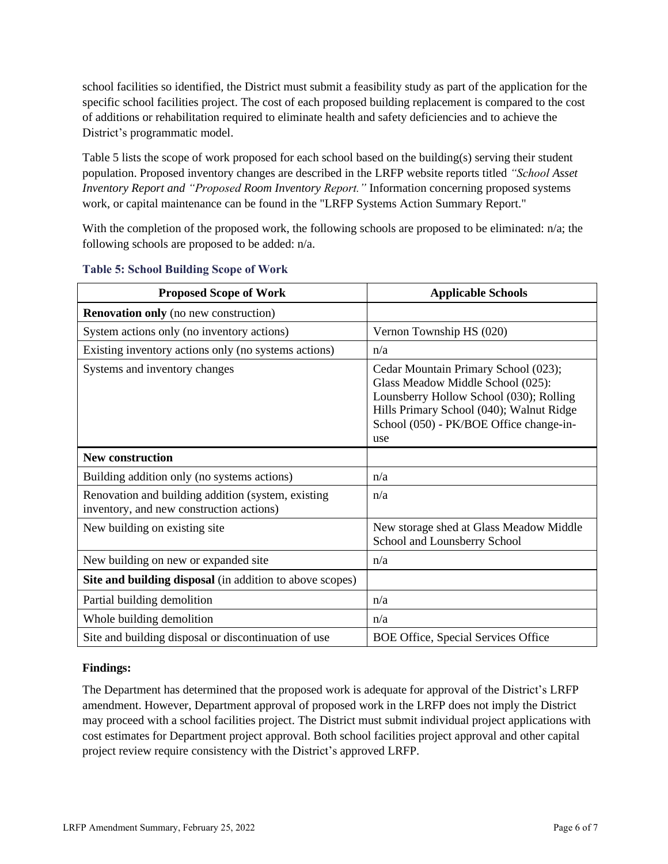school facilities so identified, the District must submit a feasibility study as part of the application for the specific school facilities project. The cost of each proposed building replacement is compared to the cost of additions or rehabilitation required to eliminate health and safety deficiencies and to achieve the District's programmatic model.

Table 5 lists the scope of work proposed for each school based on the building(s) serving their student population. Proposed inventory changes are described in the LRFP website reports titled *"School Asset Inventory Report and "Proposed Room Inventory Report."* Information concerning proposed systems work, or capital maintenance can be found in the "LRFP Systems Action Summary Report."

With the completion of the proposed work, the following schools are proposed to be eliminated: n/a; the following schools are proposed to be added: n/a.

| <b>Proposed Scope of Work</b>                                                                  | <b>Applicable Schools</b>                                                                                                                                                                                          |
|------------------------------------------------------------------------------------------------|--------------------------------------------------------------------------------------------------------------------------------------------------------------------------------------------------------------------|
| <b>Renovation only</b> (no new construction)                                                   |                                                                                                                                                                                                                    |
| System actions only (no inventory actions)                                                     | Vernon Township HS (020)                                                                                                                                                                                           |
| Existing inventory actions only (no systems actions)                                           | n/a                                                                                                                                                                                                                |
| Systems and inventory changes                                                                  | Cedar Mountain Primary School (023);<br>Glass Meadow Middle School (025):<br>Lounsberry Hollow School (030); Rolling<br>Hills Primary School (040); Walnut Ridge<br>School (050) - PK/BOE Office change-in-<br>use |
| <b>New construction</b>                                                                        |                                                                                                                                                                                                                    |
| Building addition only (no systems actions)                                                    | n/a                                                                                                                                                                                                                |
| Renovation and building addition (system, existing<br>inventory, and new construction actions) | n/a                                                                                                                                                                                                                |
| New building on existing site                                                                  | New storage shed at Glass Meadow Middle<br>School and Lounsberry School                                                                                                                                            |
| New building on new or expanded site                                                           | n/a                                                                                                                                                                                                                |
| Site and building disposal (in addition to above scopes)                                       |                                                                                                                                                                                                                    |
| Partial building demolition                                                                    | n/a                                                                                                                                                                                                                |
| Whole building demolition                                                                      | n/a                                                                                                                                                                                                                |
| Site and building disposal or discontinuation of use                                           | BOE Office, Special Services Office                                                                                                                                                                                |

#### **Table 5: School Building Scope of Work**

#### **Findings:**

The Department has determined that the proposed work is adequate for approval of the District's LRFP amendment. However, Department approval of proposed work in the LRFP does not imply the District may proceed with a school facilities project. The District must submit individual project applications with cost estimates for Department project approval. Both school facilities project approval and other capital project review require consistency with the District's approved LRFP.